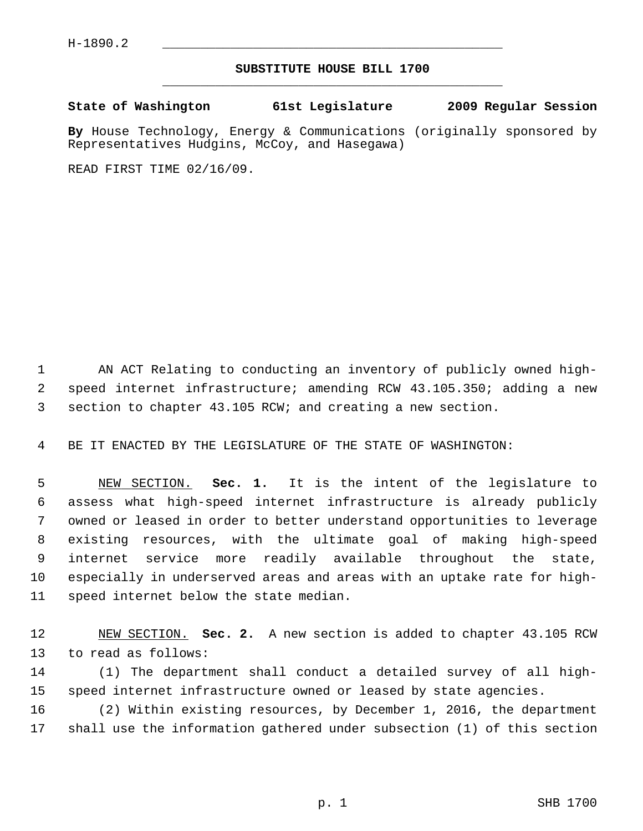## **SUBSTITUTE HOUSE BILL 1700** \_\_\_\_\_\_\_\_\_\_\_\_\_\_\_\_\_\_\_\_\_\_\_\_\_\_\_\_\_\_\_\_\_\_\_\_\_\_\_\_\_\_\_\_\_

**State of Washington 61st Legislature 2009 Regular Session**

**By** House Technology, Energy & Communications (originally sponsored by Representatives Hudgins, McCoy, and Hasegawa)

READ FIRST TIME 02/16/09.

 1 AN ACT Relating to conducting an inventory of publicly owned high- 2 speed internet infrastructure; amending RCW 43.105.350; adding a new 3 section to chapter 43.105 RCW; and creating a new section.

4 BE IT ENACTED BY THE LEGISLATURE OF THE STATE OF WASHINGTON:

 5 NEW SECTION. **Sec. 1.** It is the intent of the legislature to 6 assess what high-speed internet infrastructure is already publicly 7 owned or leased in order to better understand opportunities to leverage 8 existing resources, with the ultimate goal of making high-speed 9 internet service more readily available throughout the state, 10 especially in underserved areas and areas with an uptake rate for high-11 speed internet below the state median.

12 NEW SECTION. **Sec. 2.** A new section is added to chapter 43.105 RCW 13 to read as follows:

14 (1) The department shall conduct a detailed survey of all high-15 speed internet infrastructure owned or leased by state agencies.

16 (2) Within existing resources, by December 1, 2016, the department 17 shall use the information gathered under subsection (1) of this section